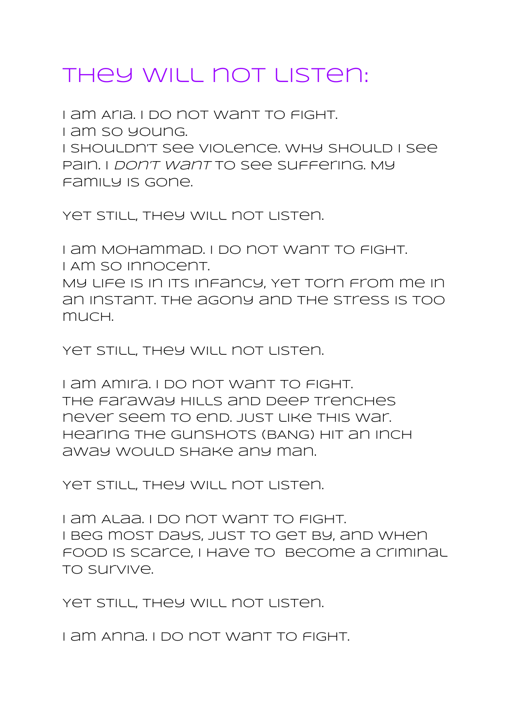## they will not listen:

I am Aria. I do not want to fight. I am so young. I shouldn't see violence. Why should i see pain. I don't want to see suffering. My family is gone.

YET STILL, THEY WILL NOT LISTEN.

I am Mohammad. I do not want to fight. I Am so innocent. My life is in its infancy, Yet torn from me in an instant. The agony and the stress is too

much.

YET STILL, THEY WILL NOT LISTEN.

I am Amira. I do not want to fight. The faraway hills and deep trenches never seem to end. JUst like this war. Hearing the gunshots (BANG) hit an inch away would shake any man.

Yet still, they will not listen.

I am Alaa. I do not want to fight. I beg most days, just to get by, and when food is scarce, I have to become a criminal to survive.

YET STILL, THEY WILL NOT LISTEN.

I am Anna. I do not want to fight.